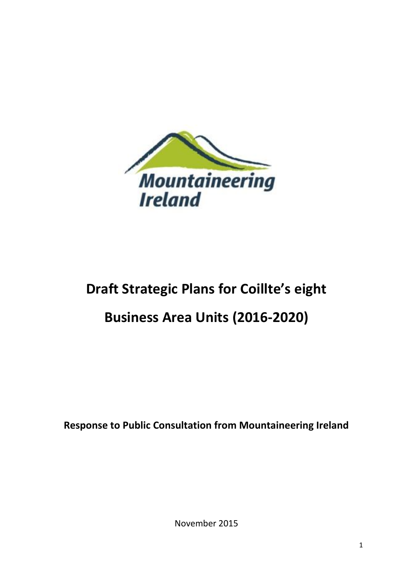

# **Draft Strategic Plans for Coillte's eight**

## **Business Area Units (2016-2020)**

**Response to Public Consultation from Mountaineering Ireland**

November 2015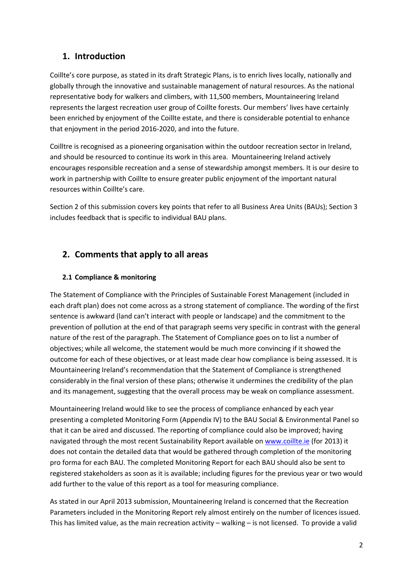## **1. Introduction**

Coillte's core purpose, as stated in its draft Strategic Plans, is to enrich lives locally, nationally and globally through the innovative and sustainable management of natural resources. As the national representative body for walkers and climbers, with 11,500 members, Mountaineering Ireland represents the largest recreation user group of Coillte forests. Our members' lives have certainly been enriched by enjoyment of the Coillte estate, and there is considerable potential to enhance that enjoyment in the period 2016-2020, and into the future.

Coilltre is recognised as a pioneering organisation within the outdoor recreation sector in Ireland, and should be resourced to continue its work in this area. Mountaineering Ireland actively encourages responsible recreation and a sense of stewardship amongst members. It is our desire to work in partnership with Coillte to ensure greater public enjoyment of the important natural resources within Coillte's care.

Section 2 of this submission covers key points that refer to all Business Area Units (BAUs); Section 3 includes feedback that is specific to individual BAU plans.

## **2. Comments that apply to all areas**

#### **2.1 Compliance & monitoring**

The Statement of Compliance with the Principles of Sustainable Forest Management (included in each draft plan) does not come across as a strong statement of compliance. The wording of the first sentence is awkward (land can't interact with people or landscape) and the commitment to the prevention of pollution at the end of that paragraph seems very specific in contrast with the general nature of the rest of the paragraph. The Statement of Compliance goes on to list a number of objectives; while all welcome, the statement would be much more convincing if it showed the outcome for each of these objectives, or at least made clear how compliance is being assessed. It is Mountaineering Ireland's recommendation that the Statement of Compliance is strengthened considerably in the final version of these plans; otherwise it undermines the credibility of the plan and its management, suggesting that the overall process may be weak on compliance assessment.

Mountaineering Ireland would like to see the process of compliance enhanced by each year presenting a completed Monitoring Form (Appendix IV) to the BAU Social & Environmental Panel so that it can be aired and discussed. The reporting of compliance could also be improved; having navigated through the most recent Sustainability Report available on [www.coillte.ie](http://www.coillte.ie/) (for 2013) it does not contain the detailed data that would be gathered through completion of the monitoring pro forma for each BAU. The completed Monitoring Report for each BAU should also be sent to registered stakeholders as soon as it is available; including figures for the previous year or two would add further to the value of this report as a tool for measuring compliance.

As stated in our April 2013 submission, Mountaineering Ireland is concerned that the Recreation Parameters included in the Monitoring Report rely almost entirely on the number of licences issued. This has limited value, as the main recreation activity – walking – is not licensed. To provide a valid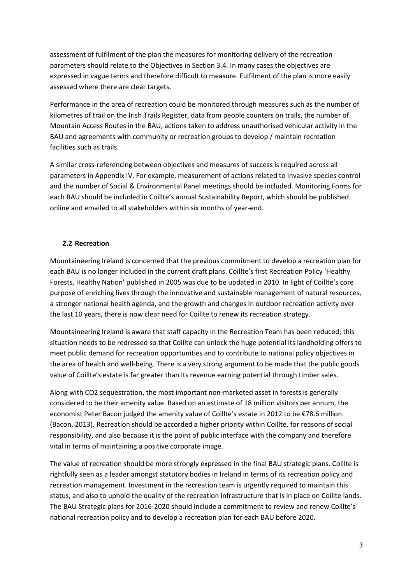assessment of fulfilment of the plan the measures for monitoring delivery of the recreation parameters should relate to the Objectives in Section 3.4. In many cases the objectives are expressed in vague terms and therefore difficult to measure. Fulfilment of the plan is more easily assessed where there are clear targets.

Performance in the area of recreation could be monitored through measures such as the number of kilometres of trail on the Irish Trails Register, data from people counters on trails, the number of Mountain Access Routes in the BAU, actions taken to address unauthorised vehicular activity in the BAU and agreements with community or recreation groups to develop / maintain recreation facilities such as trails.

A similar cross-referencing between objectives and measures of success is required across all parameters in Appendix IV. For example, measurement of actions related to invasive species control and the number of Social & Environmental Panel meetings should be included. Monitoring Forms for each BAU should be included in Coillte's annual Sustainability Report, which should be published online and emailed to all stakeholders within six months of year-end.

#### **2.2 Recreation**

Mountaineering Ireland is concerned that the previous commitment to develop a recreation plan for each BAU is no longer included in the current draft plans. Coillte's first Recreation Policy 'Healthy Forests, Healthy Nation' published in 2005 was due to be updated in 2010. In light of Coillte's core purpose of enriching lives through the innovative and sustainable management of natural resources, a stronger national health agenda, and the growth and changes in outdoor recreation activity over the last 10 years, there is now clear need for Coillte to renew its recreation strategy.

Mountaineering Ireland is aware that staff capacity in the Recreation Team has been reduced; this situation needs to be redressed so that Coillte can unlock the huge potential its landholding offers to meet public demand for recreation opportunities and to contribute to national policy objectives in the area of health and well-being. There is a very strong argument to be made that the public goods value of Coillte's estate is far greater than its revenue earning potential through timber sales.

Along with CO2 sequestration, the most important non-marketed asset in forests is generally considered to be their amenity value. Based on an estimate of 18 million visitors per annum, the economist Peter Bacon judged the amenity value of Coillte's estate in 2012 to be €78.6 million (Bacon, 2013). Recreation should be accorded a higher priority within Coillte, for reasons of social responsibility, and also because it is the point of public interface with the company and therefore vital in terms of maintaining a positive corporate image.

The value of recreation should be more strongly expressed in the final BAU strategic plans. Coillte is rightfully seen as a leader amongst statutory bodies in Ireland in terms of its recreation policy and recreation management. Investment in the recreation team is urgently required to maintain this status, and also to uphold the quality of the recreation infrastructure that is in place on Coillte lands. The BAU Strategic plans for 2016-2020 should include a commitment to review and renew Coillte's national recreation policy and to develop a recreation plan for each BAU before 2020.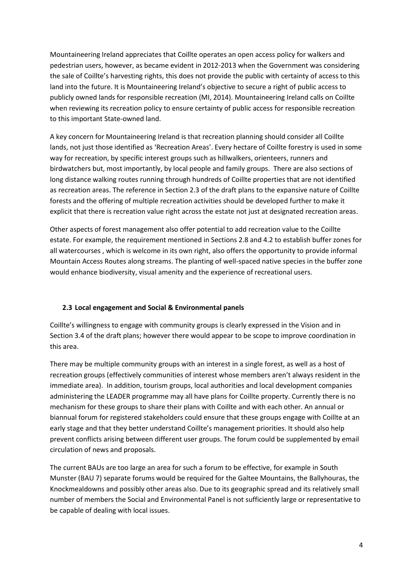Mountaineering Ireland appreciates that Coillte operates an open access policy for walkers and pedestrian users, however, as became evident in 2012-2013 when the Government was considering the sale of Coillte's harvesting rights, this does not provide the public with certainty of access to this land into the future. It is Mountaineering Ireland's objective to secure a right of public access to publicly owned lands for responsible recreation (MI, 2014). Mountaineering Ireland calls on Coillte when reviewing its recreation policy to ensure certainty of public access for responsible recreation to this important State-owned land.

A key concern for Mountaineering Ireland is that recreation planning should consider all Coillte lands, not just those identified as 'Recreation Areas'. Every hectare of Coillte forestry is used in some way for recreation, by specific interest groups such as hillwalkers, orienteers, runners and birdwatchers but, most importantly, by local people and family groups. There are also sections of long distance walking routes running through hundreds of Coillte properties that are not identified as recreation areas. The reference in Section 2.3 of the draft plans to the expansive nature of Coillte forests and the offering of multiple recreation activities should be developed further to make it explicit that there is recreation value right across the estate not just at designated recreation areas.

Other aspects of forest management also offer potential to add recreation value to the Coillte estate. For example, the requirement mentioned in Sections 2.8 and 4.2 to establish buffer zones for all watercourses , which is welcome in its own right, also offers the opportunity to provide informal Mountain Access Routes along streams. The planting of well-spaced native species in the buffer zone would enhance biodiversity, visual amenity and the experience of recreational users.

#### **2.3 Local engagement and Social & Environmental panels**

Coillte's willingness to engage with community groups is clearly expressed in the Vision and in Section 3.4 of the draft plans; however there would appear to be scope to improve coordination in this area.

There may be multiple community groups with an interest in a single forest, as well as a host of recreation groups (effectively communities of interest whose members aren't always resident in the immediate area). In addition, tourism groups, local authorities and local development companies administering the LEADER programme may all have plans for Coillte property. Currently there is no mechanism for these groups to share their plans with Coillte and with each other. An annual or biannual forum for registered stakeholders could ensure that these groups engage with Coillte at an early stage and that they better understand Coillte's management priorities. It should also help prevent conflicts arising between different user groups. The forum could be supplemented by email circulation of news and proposals.

The current BAUs are too large an area for such a forum to be effective, for example in South Munster (BAU 7) separate forums would be required for the Galtee Mountains, the Ballyhouras, the Knockmealdowns and possibly other areas also. Due to its geographic spread and its relatively small number of members the Social and Environmental Panel is not sufficiently large or representative to be capable of dealing with local issues.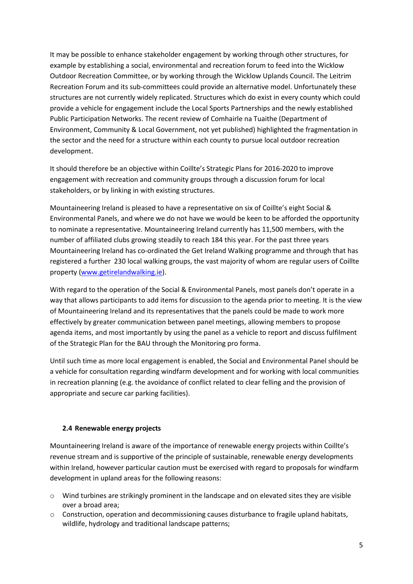It may be possible to enhance stakeholder engagement by working through other structures, for example by establishing a social, environmental and recreation forum to feed into the Wicklow Outdoor Recreation Committee, or by working through the Wicklow Uplands Council. The Leitrim Recreation Forum and its sub-committees could provide an alternative model. Unfortunately these structures are not currently widely replicated. Structures which do exist in every county which could provide a vehicle for engagement include the Local Sports Partnerships and the newly established Public Participation Networks. The recent review of Comhairle na Tuaithe (Department of Environment, Community & Local Government, not yet published) highlighted the fragmentation in the sector and the need for a structure within each county to pursue local outdoor recreation development.

It should therefore be an objective within Coillte's Strategic Plans for 2016-2020 to improve engagement with recreation and community groups through a discussion forum for local stakeholders, or by linking in with existing structures.

Mountaineering Ireland is pleased to have a representative on six of Coillte's eight Social & Environmental Panels, and where we do not have we would be keen to be afforded the opportunity to nominate a representative. Mountaineering Ireland currently has 11,500 members, with the number of affiliated clubs growing steadily to reach 184 this year. For the past three years Mountaineering Ireland has co-ordinated the Get Ireland Walking programme and through that has registered a further 230 local walking groups, the vast majority of whom are regular users of Coillte property [\(www.getirelandwalking.ie\)](http://www.getirelandwalking.ie/).

With regard to the operation of the Social & Environmental Panels, most panels don't operate in a way that allows participants to add items for discussion to the agenda prior to meeting. It is the view of Mountaineering Ireland and its representatives that the panels could be made to work more effectively by greater communication between panel meetings, allowing members to propose agenda items, and most importantly by using the panel as a vehicle to report and discuss fulfilment of the Strategic Plan for the BAU through the Monitoring pro forma.

Until such time as more local engagement is enabled, the Social and Environmental Panel should be a vehicle for consultation regarding windfarm development and for working with local communities in recreation planning (e.g. the avoidance of conflict related to clear felling and the provision of appropriate and secure car parking facilities).

#### **2.4 Renewable energy projects**

Mountaineering Ireland is aware of the importance of renewable energy projects within Coillte's revenue stream and is supportive of the principle of sustainable, renewable energy developments within Ireland, however particular caution must be exercised with regard to proposals for windfarm development in upland areas for the following reasons:

- o Wind turbines are strikingly prominent in the landscape and on elevated sites they are visible over a broad area;
- $\circ$  Construction, operation and decommissioning causes disturbance to fragile upland habitats, wildlife, hydrology and traditional landscape patterns;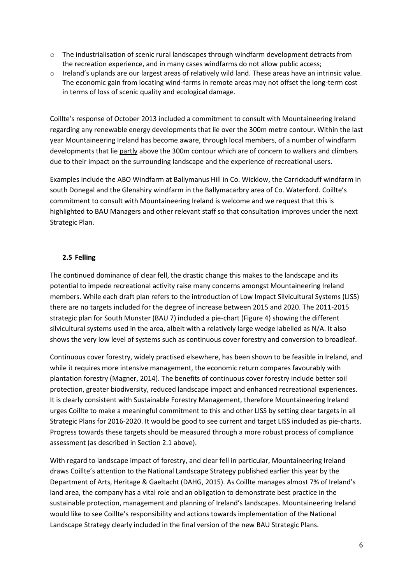- o The industrialisation of scenic rural landscapes through windfarm development detracts from the recreation experience, and in many cases windfarms do not allow public access;
- o Ireland's uplands are our largest areas of relatively wild land. These areas have an intrinsic value. The economic gain from locating wind-farms in remote areas may not offset the long-term cost in terms of loss of scenic quality and ecological damage.

Coillte's response of October 2013 included a commitment to consult with Mountaineering Ireland regarding any renewable energy developments that lie over the 300m metre contour. Within the last year Mountaineering Ireland has become aware, through local members, of a number of windfarm developments that lie partly above the 300m contour which are of concern to walkers and climbers due to their impact on the surrounding landscape and the experience of recreational users.

Examples include the ABO Windfarm at Ballymanus Hill in Co. Wicklow, the Carrickaduff windfarm in south Donegal and the Glenahiry windfarm in the Ballymacarbry area of Co. Waterford. Coillte's commitment to consult with Mountaineering Ireland is welcome and we request that this is highlighted to BAU Managers and other relevant staff so that consultation improves under the next Strategic Plan.

#### **2.5 Felling**

The continued dominance of clear fell, the drastic change this makes to the landscape and its potential to impede recreational activity raise many concerns amongst Mountaineering Ireland members. While each draft plan refers to the introduction of Low Impact Silvicultural Systems (LISS) there are no targets included for the degree of increase between 2015 and 2020. The 2011-2015 strategic plan for South Munster (BAU 7) included a pie-chart (Figure 4) showing the different silvicultural systems used in the area, albeit with a relatively large wedge labelled as N/A. It also shows the very low level of systems such as continuous cover forestry and conversion to broadleaf.

Continuous cover forestry, widely practised elsewhere, has been shown to be feasible in Ireland, and while it requires more intensive management, the economic return compares favourably with plantation forestry (Magner, 2014). The benefits of continuous cover forestry include better soil protection, greater biodiversity, reduced landscape impact and enhanced recreational experiences. It is clearly consistent with Sustainable Forestry Management, therefore Mountaineering Ireland urges Coillte to make a meaningful commitment to this and other LISS by setting clear targets in all Strategic Plans for 2016-2020. It would be good to see current and target LISS included as pie-charts. Progress towards these targets should be measured through a more robust process of compliance assessment (as described in Section 2.1 above).

With regard to landscape impact of forestry, and clear fell in particular, Mountaineering Ireland draws Coillte's attention to the National Landscape Strategy published earlier this year by the Department of Arts, Heritage & Gaeltacht (DAHG, 2015). As Coillte manages almost 7% of Ireland's land area, the company has a vital role and an obligation to demonstrate best practice in the sustainable protection, management and planning of Ireland's landscapes. Mountaineering Ireland would like to see Coillte's responsibility and actions towards implementation of the National Landscape Strategy clearly included in the final version of the new BAU Strategic Plans.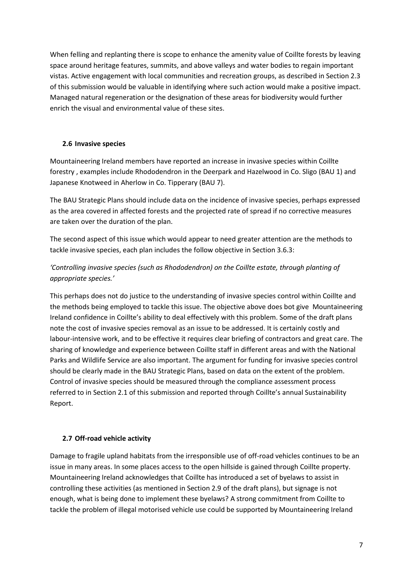When felling and replanting there is scope to enhance the amenity value of Coillte forests by leaving space around heritage features, summits, and above valleys and water bodies to regain important vistas. Active engagement with local communities and recreation groups, as described in Section 2.3 of this submission would be valuable in identifying where such action would make a positive impact. Managed natural regeneration or the designation of these areas for biodiversity would further enrich the visual and environmental value of these sites.

#### **2.6 Invasive species**

Mountaineering Ireland members have reported an increase in invasive species within Coillte forestry , examples include Rhododendron in the Deerpark and Hazelwood in Co. Sligo (BAU 1) and Japanese Knotweed in Aherlow in Co. Tipperary (BAU 7).

The BAU Strategic Plans should include data on the incidence of invasive species, perhaps expressed as the area covered in affected forests and the projected rate of spread if no corrective measures are taken over the duration of the plan.

The second aspect of this issue which would appear to need greater attention are the methods to tackle invasive species, each plan includes the follow objective in Section 3.6.3:

#### *'Controlling invasive species (such as Rhododendron) on the Coillte estate, through planting of appropriate species.'*

This perhaps does not do justice to the understanding of invasive species control within Coillte and the methods being employed to tackle this issue. The objective above does bot give Mountaineering Ireland confidence in Coillte's ability to deal effectively with this problem. Some of the draft plans note the cost of invasive species removal as an issue to be addressed. It is certainly costly and labour-intensive work, and to be effective it requires clear briefing of contractors and great care. The sharing of knowledge and experience between Coillte staff in different areas and with the National Parks and Wildlife Service are also important. The argument for funding for invasive species control should be clearly made in the BAU Strategic Plans, based on data on the extent of the problem. Control of invasive species should be measured through the compliance assessment process referred to in Section 2.1 of this submission and reported through Coillte's annual Sustainability Report.

#### **2.7 Off-road vehicle activity**

Damage to fragile upland habitats from the irresponsible use of off-road vehicles continues to be an issue in many areas. In some places access to the open hillside is gained through Coillte property. Mountaineering Ireland acknowledges that Coillte has introduced a set of byelaws to assist in controlling these activities (as mentioned in Section 2.9 of the draft plans), but signage is not enough, what is being done to implement these byelaws? A strong commitment from Coillte to tackle the problem of illegal motorised vehicle use could be supported by Mountaineering Ireland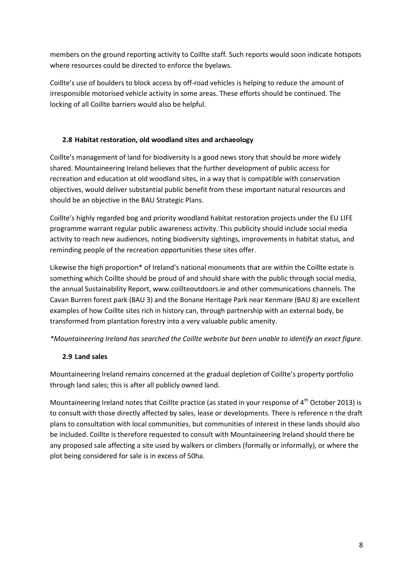members on the ground reporting activity to Coillte staff. Such reports would soon indicate hotspots where resources could be directed to enforce the byelaws.

Coillte's use of boulders to block access by off-road vehicles is helping to reduce the amount of irresponsible motorised vehicle activity in some areas. These efforts should be continued. The locking of all Coillte barriers would also be helpful.

#### **2.8 Habitat restoration, old woodland sites and archaeology**

Coillte's management of land for biodiversity is a good news story that should be more widely shared. Mountaineering Ireland believes that the further development of public access for recreation and education at old woodland sites, in a way that is compatible with conservation objectives, would deliver substantial public benefit from these important natural resources and should be an objective in the BAU Strategic Plans.

Coillte's highly regarded bog and priority woodland habitat restoration projects under the EU LIFE programme warrant regular public awareness activity. This publicity should include social media activity to reach new audiences, noting biodiversity sightings, improvements in habitat status, and reminding people of the recreation opportunities these sites offer.

Likewise the high proportion\* of Ireland's national monuments that are within the Coillte estate is something which Coillte should be proud of and should share with the public through social media, the annual Sustainability Report, www.coillteoutdoors.ie and other communications channels. The Cavan Burren forest park (BAU 3) and the Bonane Heritage Park near Kenmare (BAU 8) are excellent examples of how Coillte sites rich in history can, through partnership with an external body, be transformed from plantation forestry into a very valuable public amenity.

*\*Mountaineering Ireland has searched the Coillte website but been unable to identify an exact figure.*

#### **2.9 Land sales**

Mountaineering Ireland remains concerned at the gradual depletion of Coillte's property portfolio through land sales; this is after all publicly owned land.

Mountaineering Ireland notes that Coillte practice (as stated in your response of  $4<sup>th</sup>$  October 2013) is to consult with those directly affected by sales, lease or developments. There is reference n the draft plans to consultation with local communities, but communities of interest in these lands should also be included. Coillte is therefore requested to consult with Mountaineering Ireland should there be any proposed sale affecting a site used by walkers or climbers (formally or informally), or where the plot being considered for sale is in excess of 50ha.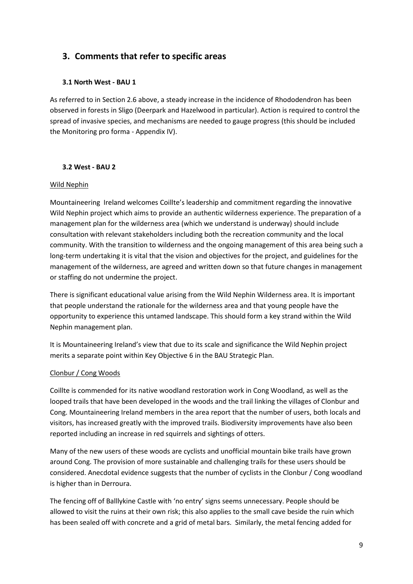## **3. Comments that refer to specific areas**

#### **3.1 North West - BAU 1**

As referred to in Section 2.6 above, a steady increase in the incidence of Rhododendron has been observed in forests in Sligo (Deerpark and Hazelwood in particular). Action is required to control the spread of invasive species, and mechanisms are needed to gauge progress (this should be included the Monitoring pro forma - Appendix IV).

#### **3.2 West - BAU 2**

#### Wild Nephin

Mountaineering Ireland welcomes Coillte's leadership and commitment regarding the innovative Wild Nephin project which aims to provide an authentic wilderness experience. The preparation of a management plan for the wilderness area (which we understand is underway) should include consultation with relevant stakeholders including both the recreation community and the local community. With the transition to wilderness and the ongoing management of this area being such a long-term undertaking it is vital that the vision and objectives for the project, and guidelines for the management of the wilderness, are agreed and written down so that future changes in management or staffing do not undermine the project.

There is significant educational value arising from the Wild Nephin Wilderness area. It is important that people understand the rationale for the wilderness area and that young people have the opportunity to experience this untamed landscape. This should form a key strand within the Wild Nephin management plan.

It is Mountaineering Ireland's view that due to its scale and significance the Wild Nephin project merits a separate point within Key Objective 6 in the BAU Strategic Plan.

#### Clonbur / Cong Woods

Coillte is commended for its native woodland restoration work in Cong Woodland, as well as the looped trails that have been developed in the woods and the trail linking the villages of Clonbur and Cong. Mountaineering Ireland members in the area report that the number of users, both locals and visitors, has increased greatly with the improved trails. Biodiversity improvements have also been reported including an increase in red squirrels and sightings of otters.

Many of the new users of these woods are cyclists and unofficial mountain bike trails have grown around Cong. The provision of more sustainable and challenging trails for these users should be considered. Anecdotal evidence suggests that the number of cyclists in the Clonbur / Cong woodland is higher than in Derroura.

The fencing off of Balllykine Castle with 'no entry' signs seems unnecessary. People should be allowed to visit the ruins at their own risk; this also applies to the small cave beside the ruin which has been sealed off with concrete and a grid of metal bars. Similarly, the metal fencing added for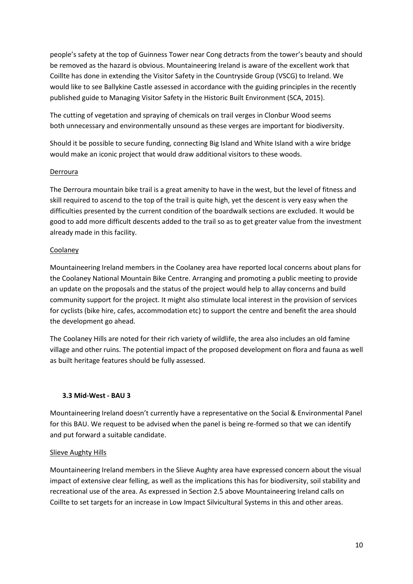people's safety at the top of Guinness Tower near Cong detracts from the tower's beauty and should be removed as the hazard is obvious. Mountaineering Ireland is aware of the excellent work that Coillte has done in extending the Visitor Safety in the Countryside Group (VSCG) to Ireland. We would like to see Ballykine Castle assessed in accordance with the guiding principles in the recently published guide to Managing Visitor Safety in the Historic Built Environment (SCA, 2015).

The cutting of vegetation and spraying of chemicals on trail verges in Clonbur Wood seems both unnecessary and environmentally unsound as these verges are important for biodiversity.

Should it be possible to secure funding, connecting Big Island and White Island with a wire bridge would make an iconic project that would draw additional visitors to these woods.

#### Derroura

The Derroura mountain bike trail is a great amenity to have in the west, but the level of fitness and skill required to ascend to the top of the trail is quite high, yet the descent is very easy when the difficulties presented by the current condition of the boardwalk sections are excluded. It would be good to add more difficult descents added to the trail so as to get greater value from the investment already made in this facility.

#### Coolaney

Mountaineering Ireland members in the Coolaney area have reported local concerns about plans for the Coolaney National Mountain Bike Centre. Arranging and promoting a public meeting to provide an update on the proposals and the status of the project would help to allay concerns and build community support for the project. It might also stimulate local interest in the provision of services for cyclists (bike hire, cafes, accommodation etc) to support the centre and benefit the area should the development go ahead.

The Coolaney Hills are noted for their rich variety of wildlife, the area also includes an old famine village and other ruins. The potential impact of the proposed development on flora and fauna as well as built heritage features should be fully assessed.

#### **3.3 Mid-West - BAU 3**

Mountaineering Ireland doesn't currently have a representative on the Social & Environmental Panel for this BAU. We request to be advised when the panel is being re-formed so that we can identify and put forward a suitable candidate.

#### Slieve Aughty Hills

Mountaineering Ireland members in the Slieve Aughty area have expressed concern about the visual impact of extensive clear felling, as well as the implications this has for biodiversity, soil stability and recreational use of the area. As expressed in Section 2.5 above Mountaineering Ireland calls on Coillte to set targets for an increase in Low Impact Silvicultural Systems in this and other areas.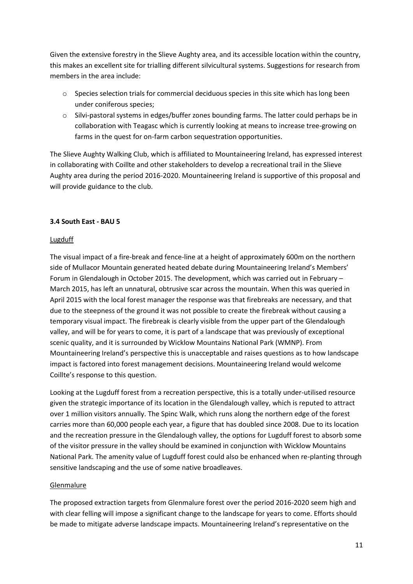Given the extensive forestry in the Slieve Aughty area, and its accessible location within the country, this makes an excellent site for trialling different silvicultural systems. Suggestions for research from members in the area include:

- $\circ$  Species selection trials for commercial deciduous species in this site which has long been under coniferous species;
- o Silvi-pastoral systems in edges/buffer zones bounding farms. The latter could perhaps be in collaboration with Teagasc which is currently looking at means to increase tree-growing on farms in the quest for on-farm carbon sequestration opportunities.

The Slieve Aughty Walking Club, which is affiliated to Mountaineering Ireland, has expressed interest in collaborating with Coillte and other stakeholders to develop a recreational trail in the Slieve Aughty area during the period 2016-2020. Mountaineering Ireland is supportive of this proposal and will provide guidance to the club.

#### **3.4 South East - BAU 5**

#### Lugduff

The visual impact of a fire-break and fence-line at a height of approximately 600m on the northern side of Mullacor Mountain generated heated debate during Mountaineering Ireland's Members' Forum in Glendalough in October 2015. The development, which was carried out in February – March 2015, has left an unnatural, obtrusive scar across the mountain. When this was queried in April 2015 with the local forest manager the response was that firebreaks are necessary, and that due to the steepness of the ground it was not possible to create the firebreak without causing a temporary visual impact. The firebreak is clearly visible from the upper part of the Glendalough valley, and will be for years to come, it is part of a landscape that was previously of exceptional scenic quality, and it is surrounded by Wicklow Mountains National Park (WMNP). From Mountaineering Ireland's perspective this is unacceptable and raises questions as to how landscape impact is factored into forest management decisions. Mountaineering Ireland would welcome Coillte's response to this question.

Looking at the Lugduff forest from a recreation perspective, this is a totally under-utilised resource given the strategic importance of its location in the Glendalough valley, which is reputed to attract over 1 million visitors annually. The Spinc Walk, which runs along the northern edge of the forest carries more than 60,000 people each year, a figure that has doubled since 2008. Due to its location and the recreation pressure in the Glendalough valley, the options for Lugduff forest to absorb some of the visitor pressure in the valley should be examined in conjunction with Wicklow Mountains National Park. The amenity value of Lugduff forest could also be enhanced when re-planting through sensitive landscaping and the use of some native broadleaves.

#### Glenmalure

The proposed extraction targets from Glenmalure forest over the period 2016-2020 seem high and with clear felling will impose a significant change to the landscape for years to come. Efforts should be made to mitigate adverse landscape impacts. Mountaineering Ireland's representative on the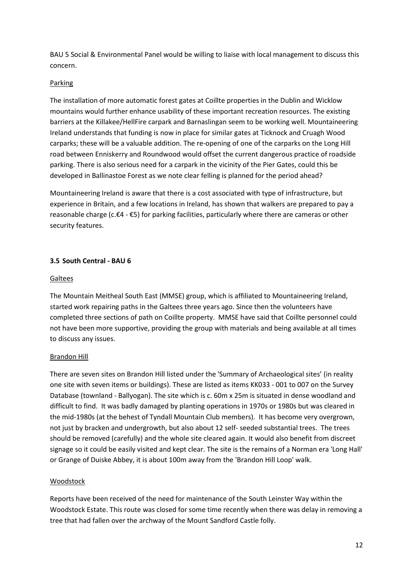BAU 5 Social & Environmental Panel would be willing to liaise with local management to discuss this concern.

#### **Parking**

The installation of more automatic forest gates at Coillte properties in the Dublin and Wicklow mountains would further enhance usability of these important recreation resources. The existing barriers at the Killakee/HellFire carpark and Barnaslingan seem to be working well. Mountaineering Ireland understands that funding is now in place for similar gates at Ticknock and Cruagh Wood carparks; these will be a valuable addition. The re-opening of one of the carparks on the Long Hill road between Enniskerry and Roundwood would offset the current dangerous practice of roadside parking. There is also serious need for a carpark in the vicinity of the Pier Gates, could this be developed in Ballinastoe Forest as we note clear felling is planned for the period ahead?

Mountaineering Ireland is aware that there is a cost associated with type of infrastructure, but experience in Britain, and a few locations in Ireland, has shown that walkers are prepared to pay a reasonable charge (c.€4 - €5) for parking facilities, particularly where there are cameras or other security features.

#### **3.5 South Central - BAU 6**

#### Galtees

The Mountain Meitheal South East (MMSE) group, which is affiliated to Mountaineering Ireland, started work repairing paths in the Galtees three years ago. Since then the volunteers have completed three sections of path on Coillte property. MMSE have said that Coillte personnel could not have been more supportive, providing the group with materials and being available at all times to discuss any issues.

#### Brandon Hill

There are seven sites on Brandon Hill listed under the 'Summary of Archaeological sites' (in reality one site with seven items or buildings). These are listed as items KK033 - 001 to 007 on the Survey Database (townland - Ballyogan). The site which is c. 60m x 25m is situated in dense woodland and difficult to find. It was badly damaged by planting operations in 1970s or 1980s but was cleared in the mid-1980s (at the behest of Tyndall Mountain Club members). It has become very overgrown, not just by bracken and undergrowth, but also about 12 self- seeded substantial trees. The trees should be removed (carefully) and the whole site cleared again. It would also benefit from discreet signage so it could be easily visited and kept clear. The site is the remains of a Norman era 'Long Hall' or Grange of Duiske Abbey, it is about 100m away from the 'Brandon Hill Loop' walk.

#### **Woodstock**

Reports have been received of the need for maintenance of the South Leinster Way within the Woodstock Estate. This route was closed for some time recently when there was delay in removing a tree that had fallen over the archway of the Mount Sandford Castle folly.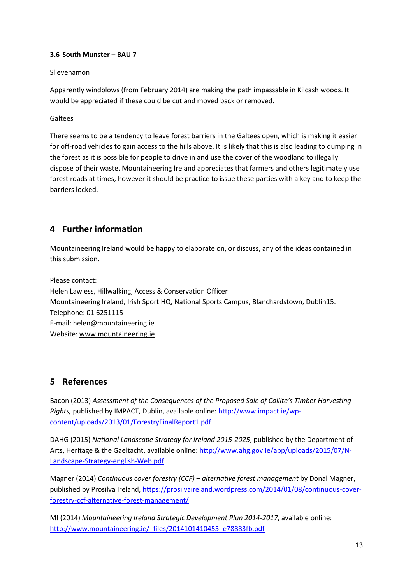#### **3.6 South Munster – BAU 7**

#### Slievenamon

Apparently windblows (from February 2014) are making the path impassable in Kilcash woods. It would be appreciated if these could be cut and moved back or removed.

Galtees

There seems to be a tendency to leave forest barriers in the Galtees open, which is making it easier for off-road vehicles to gain access to the hills above. It is likely that this is also leading to dumping in the forest as it is possible for people to drive in and use the cover of the woodland to illegally dispose of their waste. Mountaineering Ireland appreciates that farmers and others legitimately use forest roads at times, however it should be practice to issue these parties with a key and to keep the barriers locked.

## **4 Further information**

Mountaineering Ireland would be happy to elaborate on, or discuss, any of the ideas contained in this submission.

Please contact: Helen Lawless, Hillwalking, Access & Conservation Officer Mountaineering Ireland, Irish Sport HQ, National Sports Campus, Blanchardstown, Dublin15. Telephone: 01 6251115 E-mail: [helen@mountaineering.ie](mailto:helen@mountaineering.ie) Website[: www.mountaineering.ie](http://www.mountaineering.ie/)

## **5 References**

Bacon (2013) *Assessment of the Consequences of the Proposed Sale of Coillte's Timber Harvesting Rights,* published by IMPACT, Dublin, available online: [http://www.impact.ie/wp](http://www.impact.ie/wp-content/uploads/2013/01/ForestryFinalReport1.pdf)[content/uploads/2013/01/ForestryFinalReport1.pdf](http://www.impact.ie/wp-content/uploads/2013/01/ForestryFinalReport1.pdf)

DAHG (2015) *National Landscape Strategy for Ireland 2015-2025*, published by the Department of Arts, Heritage & the Gaeltacht, available online[: http://www.ahg.gov.ie/app/uploads/2015/07/N-](http://www.ahg.gov.ie/app/uploads/2015/07/N-Landscape-Strategy-english-Web.pdf)[Landscape-Strategy-english-Web.pdf](http://www.ahg.gov.ie/app/uploads/2015/07/N-Landscape-Strategy-english-Web.pdf)

Magner (2014) *Continuous cover forestry (CCF) – alternative forest management* by Donal Magner, published by Prosilva Ireland[, https://prosilvaireland.wordpress.com/2014/01/08/continuous-cover](https://prosilvaireland.wordpress.com/2014/01/08/continuous-cover-forestry-ccf-alternative-forest-management/)[forestry-ccf-alternative-forest-management/](https://prosilvaireland.wordpress.com/2014/01/08/continuous-cover-forestry-ccf-alternative-forest-management/)

MI (2014) *Mountaineering Ireland Strategic Development Plan 2014-2017*, available online: [http://www.mountaineering.ie/\\_files/2014101410455\\_e78883fb.pdf](http://www.mountaineering.ie/_files/2014101410455_e78883fb.pdf)